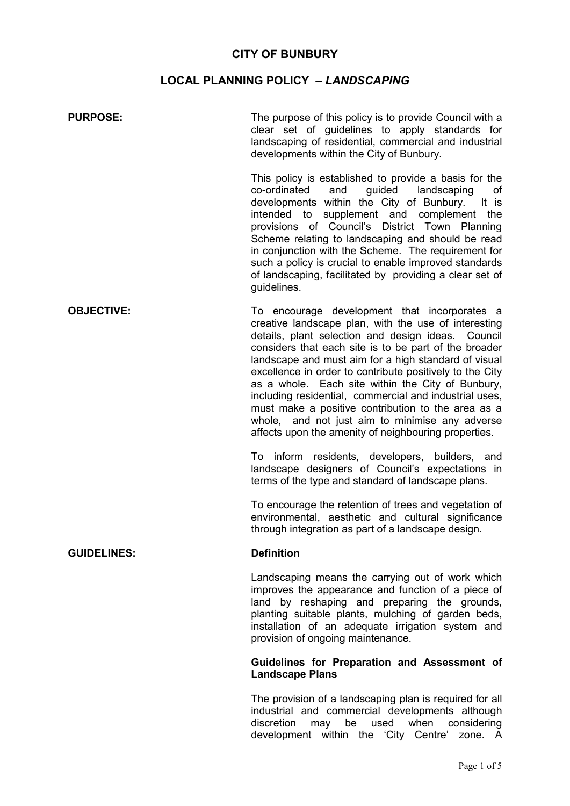## **CITY OF BUNBURY**

# **LOCAL PLANNING POLICY –** *LANDSCAPING*

| <b>PURPOSE:</b>    | The purpose of this policy is to provide Council with a<br>clear set of guidelines to apply standards for<br>landscaping of residential, commercial and industrial<br>developments within the City of Bunbury.                                                                                                                                                                                                                                                                                                                                                                                                          |
|--------------------|-------------------------------------------------------------------------------------------------------------------------------------------------------------------------------------------------------------------------------------------------------------------------------------------------------------------------------------------------------------------------------------------------------------------------------------------------------------------------------------------------------------------------------------------------------------------------------------------------------------------------|
|                    | This policy is established to provide a basis for the<br>co-ordinated<br>and<br>guided<br>landscaping<br>οf<br>developments within the City of Bunbury.<br>It is<br>supplement and complement the<br>intended to<br>provisions of Council's District Town Planning<br>Scheme relating to landscaping and should be read<br>in conjunction with the Scheme. The requirement for<br>such a policy is crucial to enable improved standards<br>of landscaping, facilitated by providing a clear set of<br>guidelines.                                                                                                       |
| <b>OBJECTIVE:</b>  | To encourage development that incorporates a<br>creative landscape plan, with the use of interesting<br>details, plant selection and design ideas. Council<br>considers that each site is to be part of the broader<br>landscape and must aim for a high standard of visual<br>excellence in order to contribute positively to the City<br>as a whole. Each site within the City of Bunbury,<br>including residential, commercial and industrial uses,<br>must make a positive contribution to the area as a<br>whole, and not just aim to minimise any adverse<br>affects upon the amenity of neighbouring properties. |
|                    | To inform residents, developers, builders, and<br>landscape designers of Council's expectations in<br>terms of the type and standard of landscape plans.                                                                                                                                                                                                                                                                                                                                                                                                                                                                |
|                    | To encourage the retention of trees and vegetation of<br>environmental, aesthetic and cultural significance<br>through integration as part of a landscape design.                                                                                                                                                                                                                                                                                                                                                                                                                                                       |
| <b>GUIDELINES:</b> | <b>Definition</b>                                                                                                                                                                                                                                                                                                                                                                                                                                                                                                                                                                                                       |
|                    | Landscaping means the carrying out of work which<br>improves the appearance and function of a piece of<br>land by reshaping and preparing the grounds,<br>planting suitable plants, mulching of garden beds,<br>installation of an adequate irrigation system and<br>provision of ongoing maintenance.                                                                                                                                                                                                                                                                                                                  |
|                    | Guidelines for Preparation and Assessment of<br><b>Landscape Plans</b>                                                                                                                                                                                                                                                                                                                                                                                                                                                                                                                                                  |

The provision of a landscaping plan is required for all industrial and commercial developments although discretion may be used when considering development within the 'City Centre' zone. A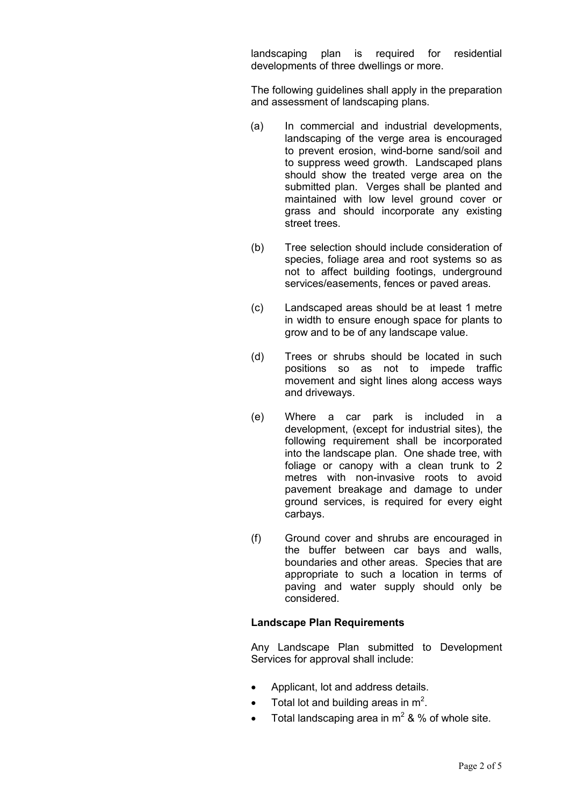landscaping plan is required for residential developments of three dwellings or more.

The following guidelines shall apply in the preparation and assessment of landscaping plans.

- (a) In commercial and industrial developments, landscaping of the verge area is encouraged to prevent erosion, wind-borne sand/soil and to suppress weed growth. Landscaped plans should show the treated verge area on the submitted plan. Verges shall be planted and maintained with low level ground cover or grass and should incorporate any existing street trees.
- (b) Tree selection should include consideration of species, foliage area and root systems so as not to affect building footings, underground services/easements, fences or paved areas.
- (c) Landscaped areas should be at least 1 metre in width to ensure enough space for plants to grow and to be of any landscape value.
- (d) Trees or shrubs should be located in such positions so as not to impede traffic movement and sight lines along access ways and driveways.
- (e) Where a car park is included in a development, (except for industrial sites), the following requirement shall be incorporated into the landscape plan. One shade tree, with foliage or canopy with a clean trunk to 2 metres with non-invasive roots to avoid pavement breakage and damage to under ground services, is required for every eight carbays.
- (f) Ground cover and shrubs are encouraged in the buffer between car bays and walls, boundaries and other areas. Species that are appropriate to such a location in terms of paving and water supply should only be considered.

#### **Landscape Plan Requirements**

Any Landscape Plan submitted to Development Services for approval shall include:

- Applicant, lot and address details.
- Total lot and building areas in  $m^2$ .
- Total landscaping area in  $m^2$  & % of whole site.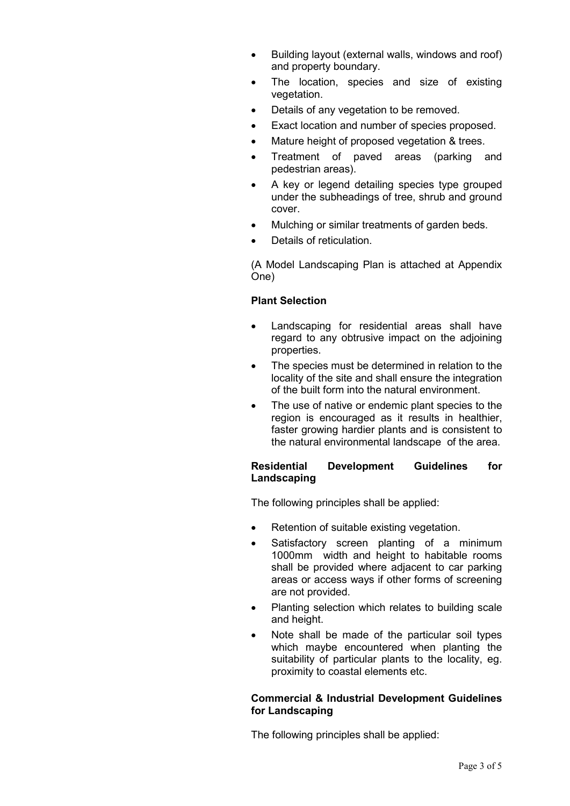- Building layout (external walls, windows and roof) and property boundary.
- The location, species and size of existing vegetation.
- Details of any vegetation to be removed.
- Exact location and number of species proposed.
- Mature height of proposed vegetation & trees.
- Treatment of paved areas (parking and pedestrian areas).
- A key or legend detailing species type grouped under the subheadings of tree, shrub and ground cover.
- Mulching or similar treatments of garden beds.
- Details of reticulation.

(A Model Landscaping Plan is attached at Appendix One)

### **Plant Selection**

- Landscaping for residential areas shall have regard to any obtrusive impact on the adjoining properties.
- The species must be determined in relation to the locality of the site and shall ensure the integration of the built form into the natural environment.
- The use of native or endemic plant species to the region is encouraged as it results in healthier, faster growing hardier plants and is consistent to the natural environmental landscape of the area.

### **Residential Development Guidelines for Landscaping**

The following principles shall be applied:

- Retention of suitable existing vegetation.
- Satisfactory screen planting of a minimum 1000mm width and height to habitable rooms shall be provided where adjacent to car parking areas or access ways if other forms of screening are not provided.
- Planting selection which relates to building scale and height.
- Note shall be made of the particular soil types which maybe encountered when planting the suitability of particular plants to the locality, eg. proximity to coastal elements etc.

### **Commercial & Industrial Development Guidelines for Landscaping**

The following principles shall be applied: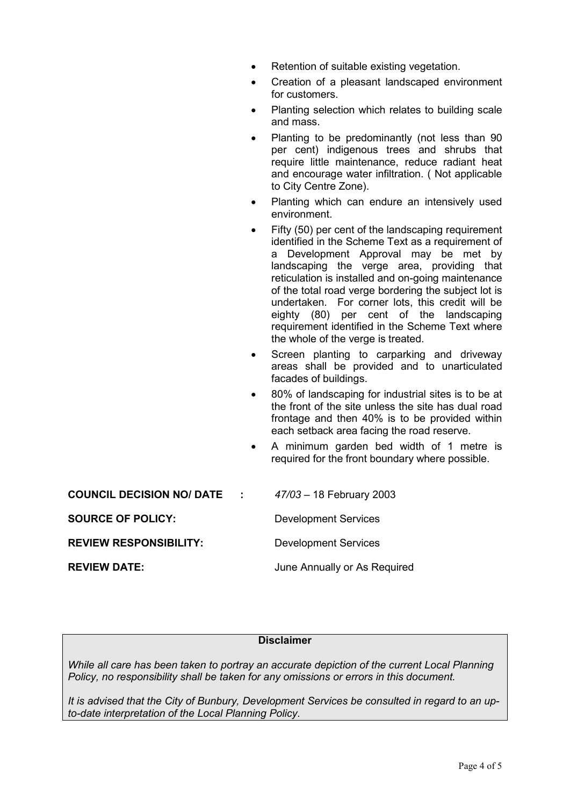| Retention of suitable existing vegetation. |
|--------------------------------------------|
|--------------------------------------------|

- Creation of a pleasant landscaped environment for customers.
- Planting selection which relates to building scale and mass.
- Planting to be predominantly (not less than 90 per cent) indigenous trees and shrubs that require little maintenance, reduce radiant heat and encourage water infiltration. ( Not applicable to City Centre Zone).
- Planting which can endure an intensively used environment.
- Fifty (50) per cent of the landscaping requirement identified in the Scheme Text as a requirement of a Development Approval may be met by landscaping the verge area, providing that reticulation is installed and on-going maintenance of the total road verge bordering the subject lot is undertaken. For corner lots, this credit will be eighty (80) per cent of the landscaping requirement identified in the Scheme Text where the whole of the verge is treated.
- Screen planting to carparking and driveway areas shall be provided and to unarticulated facades of buildings.
- 80% of landscaping for industrial sites is to be at the front of the site unless the site has dual road frontage and then 40% is to be provided within each setback area facing the road reserve.
- A minimum garden bed width of 1 metre is required for the front boundary where possible.

| <b>COUNCIL DECISION NO/ DATE</b> | $\sim 100$ km s $^{-1}$ | $47/03 - 18$ February 2003   |
|----------------------------------|-------------------------|------------------------------|
| <b>SOURCE OF POLICY:</b>         |                         | <b>Development Services</b>  |
| <b>REVIEW RESPONSIBILITY:</b>    |                         | <b>Development Services</b>  |
| <b>REVIEW DATE:</b>              |                         | June Annually or As Required |

#### **Disclaimer**

*While all care has been taken to portray an accurate depiction of the current Local Planning Policy, no responsibility shall be taken for any omissions or errors in this document.* 

*It is advised that the City of Bunbury, Development Services be consulted in regard to an upto-date interpretation of the Local Planning Policy.*